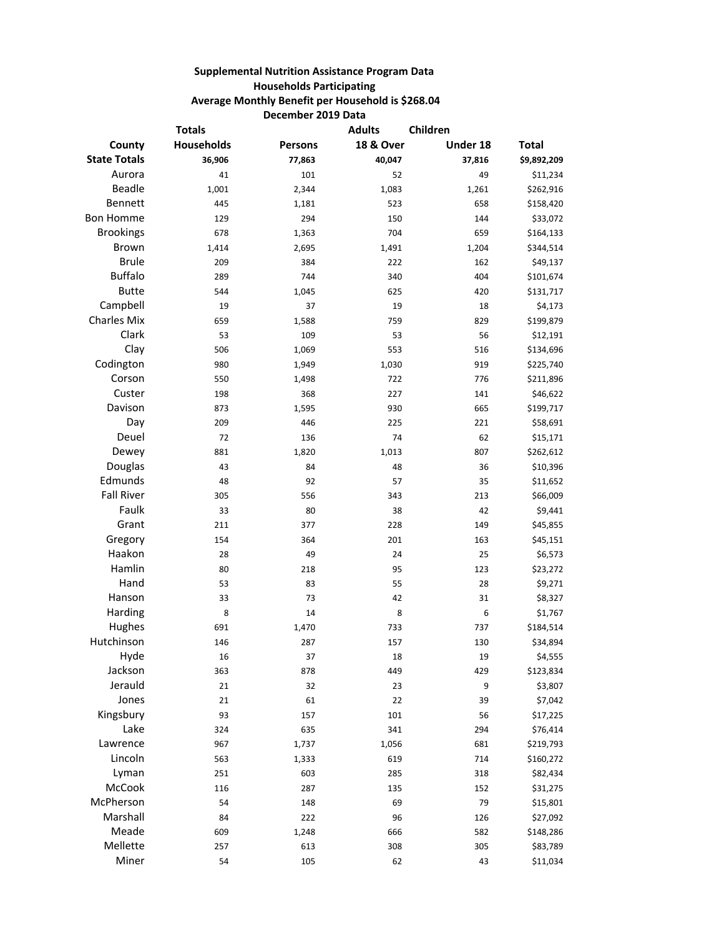## **Supplemental Nutrition Assistance Program Data Households Participating Average Monthly Benefit per Household is \$268.04 December 2019 Data**

| <b>Totals</b>       |                   |                | <b>Adults</b><br>Children |          |              |
|---------------------|-------------------|----------------|---------------------------|----------|--------------|
| County              | <b>Households</b> | <b>Persons</b> | <b>18 &amp; Over</b>      | Under 18 | <b>Total</b> |
| <b>State Totals</b> | 36,906            | 77,863         | 40,047                    | 37,816   | \$9,892,209  |
| Aurora              | 41                | 101            | 52                        | 49       | \$11,234     |
| <b>Beadle</b>       | 1,001             | 2,344          | 1,083                     | 1,261    | \$262,916    |
| Bennett             | 445               | 1,181          | 523                       | 658      | \$158,420    |
| <b>Bon Homme</b>    | 129               | 294            | 150                       | 144      | \$33,072     |
| <b>Brookings</b>    | 678               | 1,363          | 704                       | 659      | \$164,133    |
| <b>Brown</b>        | 1,414             | 2,695          | 1,491                     | 1,204    | \$344,514    |
| <b>Brule</b>        | 209               | 384            | 222                       | 162      | \$49,137     |
| <b>Buffalo</b>      | 289               | 744            | 340                       | 404      | \$101,674    |
| <b>Butte</b>        | 544               | 1,045          | 625                       | 420      | \$131,717    |
| Campbell            | 19                | 37             | 19                        | 18       | \$4,173      |
| <b>Charles Mix</b>  | 659               | 1,588          | 759                       | 829      | \$199,879    |
| Clark               | 53                | 109            | 53                        | 56       | \$12,191     |
| Clay                | 506               | 1,069          | 553                       | 516      | \$134,696    |
| Codington           | 980               | 1,949          | 1,030                     | 919      | \$225,740    |
| Corson              | 550               | 1,498          | 722                       | 776      | \$211,896    |
| Custer              | 198               | 368            | 227                       | 141      | \$46,622     |
| Davison             | 873               | 1,595          | 930                       | 665      | \$199,717    |
| Day                 | 209               | 446            | 225                       | 221      | \$58,691     |
| Deuel               | 72                | 136            | 74                        | 62       | \$15,171     |
| Dewey               | 881               | 1,820          | 1,013                     | 807      | \$262,612    |
| Douglas             | 43                | 84             | 48                        | 36       | \$10,396     |
| Edmunds             | 48                | 92             | 57                        | 35       | \$11,652     |
| <b>Fall River</b>   | 305               | 556            | 343                       | 213      | \$66,009     |
| Faulk               | 33                | 80             | 38                        | 42       | \$9,441      |
| Grant               | 211               | 377            | 228                       | 149      | \$45,855     |
| Gregory             | 154               | 364            | 201                       | 163      | \$45,151     |
| Haakon              | 28                | 49             | 24                        | 25       | \$6,573      |
| Hamlin              | 80                | 218            | 95                        | 123      | \$23,272     |
| Hand                | 53                | 83             | 55                        | 28       | \$9,271      |
| Hanson              | 33                | 73             | 42                        | 31       | \$8,327      |
| Harding             | 8                 | 14             | 8                         | 6        | \$1,767      |
| Hughes              | 691               | 1,470          | 733                       | 737      | \$184,514    |
| Hutchinson          | 146               | 287            | 157                       | 130      | \$34,894     |
| Hyde                | 16                | 37             | 18                        | 19       | \$4,555      |
| Jackson             | 363               | 878            | 449                       | 429      | \$123,834    |
| Jerauld             | 21                | 32             | 23                        | 9        | \$3,807      |
| Jones               | 21                | 61             | 22                        | 39       | \$7,042      |
| Kingsbury           | 93                | 157            | 101                       | 56       | \$17,225     |
| Lake                | 324               | 635            | 341                       | 294      | \$76,414     |
| Lawrence            | 967               | 1,737          | 1,056                     | 681      | \$219,793    |
| Lincoln             | 563               | 1,333          | 619                       | 714      | \$160,272    |
| Lyman               | 251               | 603            | 285                       | 318      | \$82,434     |
| McCook              | 116               | 287            | 135                       | 152      | \$31,275     |
| McPherson           | 54                | 148            | 69                        | 79       | \$15,801     |
| Marshall            | 84                | 222            | 96                        | 126      | \$27,092     |
| Meade               | 609               | 1,248          | 666                       | 582      | \$148,286    |
| Mellette            | 257               | 613            | 308                       | 305      | \$83,789     |
| Miner               | 54                | 105            | 62                        | 43       | \$11,034     |